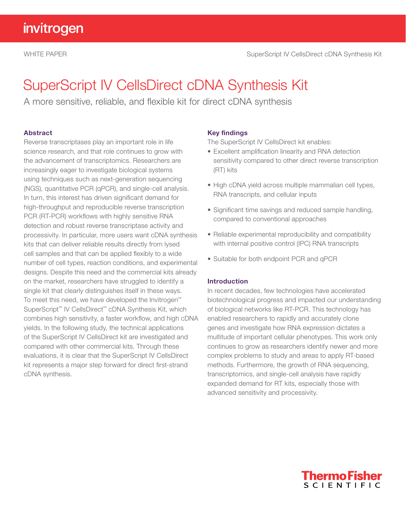# SuperScript IV CellsDirect cDNA Synthesis Kit

A more sensitive, reliable, and flexible kit for direct cDNA synthesis

# Abstract

Reverse transcriptases play an important role in life science research, and that role continues to grow with the advancement of transcriptomics. Researchers are increasingly eager to investigate biological systems using techniques such as next-generation sequencing (NGS), quantitative PCR (qPCR), and single-cell analysis. In turn, this interest has driven significant demand for high-throughput and reproducible reverse transcription PCR (RT-PCR) workflows with highly sensitive RNA detection and robust reverse transcriptase activity and processivity. In particular, more users want cDNA synthesis kits that can deliver reliable results directly from lysed cell samples and that can be applied flexibly to a wide number of cell types, reaction conditions, and experimental designs. Despite this need and the commercial kits already on the market, researchers have struggled to identify a single kit that clearly distinguishes itself in these ways. To meet this need, we have developed the Invitrogen™ SuperScript™ IV CellsDirect™ cDNA Synthesis Kit, which combines high sensitivity, a faster workflow, and high cDNA yields. In the following study, the technical applications of the SuperScript IV CellsDirect kit are investigated and compared with other commercial kits. Through these evaluations, it is clear that the SuperScript IV CellsDirect kit represents a major step forward for direct first-strand cDNA synthesis.

### Key findings

The SuperScript IV CellsDirect kit enables:

- Excellent amplification linearity and RNA detection sensitivity compared to other direct reverse transcription (RT) kits
- High cDNA yield across multiple mammalian cell types, RNA transcripts, and cellular inputs
- Significant time savings and reduced sample handling, compared to conventional approaches
- Reliable experimental reproducibility and compatibility with internal positive control (IPC) RNA transcripts
- Suitable for both endpoint PCR and qPCR

### Introduction

In recent decades, few technologies have accelerated biotechnological progress and impacted our understanding of biological networks like RT-PCR. This technology has enabled researchers to rapidly and accurately clone genes and investigate how RNA expression dictates a multitude of important cellular phenotypes. This work only continues to grow as researchers identify newer and more complex problems to study and areas to apply RT-based methods. Furthermore, the growth of RNA sequencing, transcriptomics, and single-cell analysis have rapidly expanded demand for RT kits, especially those with advanced sensitivity and processivity.

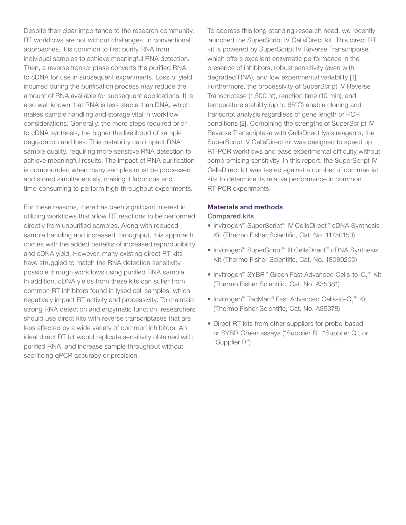Despite their clear importance to the research community, RT workflows are not without challenges. In conventional approaches, it is common to first purify RNA from individual samples to achieve meaningful RNA detection. Then, a reverse transcriptase converts the purified RNA to cDNA for use in subsequent experiments. Loss of yield incurred during the purification process may reduce the amount of RNA available for subsequent applications. It is also well known that RNA is less stable than DNA, which makes sample handling and storage vital in workflow considerations. Generally, the more steps required prior to cDNA synthesis, the higher the likelihood of sample degradation and loss. This instability can impact RNA sample quality, requiring more sensitive RNA detection to achieve meaningful results. The impact of RNA purification is compounded when many samples must be processed and stored simultaneously, making it laborious and time-consuming to perform high-throughput experiments.

For these reasons, there has been significant interest in utilizing workflows that allow RT reactions to be performed directly from unpurified samples. Along with reduced sample handling and increased throughput, this approach comes with the added benefits of increased reproducibility and cDNA yield. However, many existing direct RT kits have struggled to match the RNA detection sensitivity possible through workflows using purified RNA sample. In addition, cDNA yields from these kits can suffer from common RT inhibitors found in lysed cell samples, which negatively impact RT activity and processivity. To maintain strong RNA detection and enzymatic function, researchers should use direct kits with reverse transcriptases that are less affected by a wide variety of common inhibitors. An ideal direct RT kit would replicate sensitivity obtained with purified RNA, and increase sample throughput without sacrificing qPCR accuracy or precision.

To address this long-standing research need, we recently launched the SuperScript IV CellsDirect kit. This direct RT kit is powered by SuperScript IV Reverse Transcriptase, which offers excellent enzymatic performance in the presence of inhibitors, robust sensitivity (even with degraded RNA), and low experimental variability [1]. Furthermore, the processivity of SuperScript IV Reverse Transcriptase (1,500 nt), reaction time (10 min), and temperature stability (up to 65°C) enable cloning and transcript analysis regardless of gene length or PCR conditions [2]. Combining the strengths of SuperScript IV Reverse Transcriptase with CellsDirect lysis reagents, the SuperScript IV CellsDirect kit was designed to speed up RT-PCR workflows and ease experimental difficulty without compromising sensitivity. In this report, the SuperScript IV CellsDirect kit was tested against a number of commercial kits to determine its relative performance in common RT-PCR experiments.

#### Materials and methods

#### Compared kits

- Invitrogen™ SuperScript™ IV CellsDirect™ cDNA Synthesis Kit (Thermo Fisher Scientific, Cat. No. 11750150)
- Invitrogen™ SuperScript™ III CellsDirect™ cDNA Synthesis Kit (Thermo Fisher Scientific, Cat. No. 18080200)
- Invitrogen™ SYBR™ Green Fast Advanced Cells-to-C<sub>T</sub>™ Kit (Thermo Fisher Scientific, Cat. No. A35381)
- Invitrogen™ TaqMan® Fast Advanced Cells-to- $C_{T}^{\pi_{M}}$  Kit (Thermo Fisher Scientific, Cat. No. A35378)
- Direct RT kits from other suppliers for probe-based or SYBR Green assays ("Supplier B", "Supplier Q", or "Supplier R")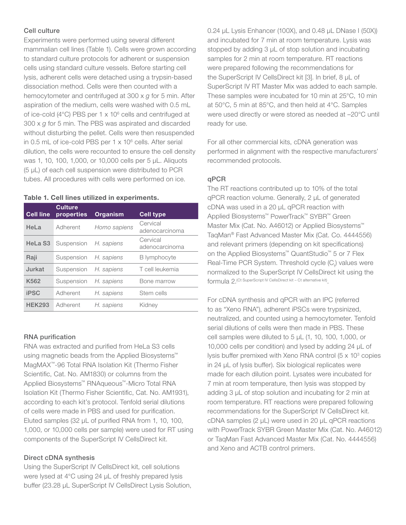# Cell culture

Experiments were performed using several different mammalian cell lines (Table 1). Cells were grown according to standard culture protocols for adherent or suspension cells using standard culture vessels. Before starting cell lysis, adherent cells were detached using a trypsin-based dissociation method. Cells were then counted with a hemocytometer and centrifuged at 300 x *g* for 5 min. After aspiration of the medium, cells were washed with 0.5 mL of ice-cold (4 $^{\circ}$ C) PBS per 1 x 10 $^{\circ}$  cells and centrifuged at 300 x *g* for 5 min. The PBS was aspirated and discarded without disturbing the pellet. Cells were then resuspended in 0.5 mL of ice-cold PBS per 1 x 10<sup>6</sup> cells. After serial dilution, the cells were recounted to ensure the cell density was 1, 10, 100, 1,000, or 10,000 cells per 5 μL. Aliquots (5 µL) of each cell suspension were distributed to PCR tubes. All procedures with cells were performed on ice.

| <b>Cell line</b>   | <b>Culture</b><br>properties | Organism     | <b>Cell type</b>           |
|--------------------|------------------------------|--------------|----------------------------|
| HeLa               | Adherent                     | Homo sapiens | Cervical<br>adenocarcinoma |
| HeLa <sub>S3</sub> | Suspension H. sapiens        |              | Cervical<br>adenocarcinoma |
| Raji               | Suspension                   | H. sapiens   | <b>B</b> lymphocyte        |
| Jurkat             | Suspension                   | H. sapiens   | T cell leukemia            |
| K <sub>562</sub>   | Suspension                   | H. sapiens   | Bone marrow                |
| <b>iPSC</b>        | Adherent                     | H. sapiens   | Stem cells                 |
| <b>HEK293</b>      | Adherent                     | H. sapiens   | Kidney                     |

#### Table 1. Cell lines utilized in experiments.

#### RNA purification

RNA was extracted and purified from HeLa S3 cells using magnetic beads from the Applied Biosystems™ MagMAX™-96 Total RNA Isolation Kit (Thermo Fisher Scientific, Cat. No. AM1830) or columns from the Applied Biosystems™ RNAqueous™-Micro Total RNA Isolation Kit (Thermo Fisher Scientific, Cat. No. AM1931), according to each kit's protocol. Tenfold serial dilutions of cells were made in PBS and used for purification. Eluted samples (32 µL of purified RNA from 1, 10, 100, 1,000, or 10,000 cells per sample) were used for RT using components of the SuperScript IV CellsDirect kit.

#### Direct cDNA synthesis

Using the SuperScript IV CellsDirect kit, cell solutions were lysed at 4°C using 24 µL of freshly prepared lysis buffer (23.28 µL SuperScript IV CellsDirect Lysis Solution, 0.24 µL Lysis Enhancer (100X), and 0.48 µL DNase I (50X)) and incubated for 7 min at room temperature. Lysis was stopped by adding 3  $\mu$ L of stop solution and incubating samples for 2 min at room temperature. RT reactions were prepared following the recommendations for the SuperScript IV CellsDirect kit [3]. In brief, 8 µL of SuperScript IV RT Master Mix was added to each sample. These samples were incubated for 10 min at 25°C, 10 min at 50°C, 5 min at 85°C, and then held at 4°C. Samples were used directly or were stored as needed at –20°C until ready for use.

For all other commercial kits, cDNA generation was performed in alignment with the respective manufacturers' recommended protocols.

#### qPCR

The RT reactions contributed up to 10% of the total qPCR reaction volume. Generally, 2 µL of generated cDNA was used in a 20 µL qPCR reaction with Applied Biosystems™ PowerTrack™ SYBR™ Green Master Mix (Cat. No. A46012) or Applied Biosystems™ TaqMan® Fast Advanced Master Mix (Cat. Co. 4444556) and relevant primers (depending on kit specifications) on the Applied Biosystems™ QuantStudio™ 5 or 7 Flex Real-Time PCR System. Threshold cycle  $(C_t)$  values were normalized to the SuperScript IV CellsDirect kit using the formula 2.<sup>(Ct SuperScript IV CellsDirect kit – Ct alternative kit)</sup>

For cDNA synthesis and qPCR with an IPC (referred to as "Xeno RNA"), adherent iPSCs were trypsinized, neutralized, and counted using a hemocytometer. Tenfold serial dilutions of cells were then made in PBS. These cell samples were diluted to 5 µL (1, 10, 100, 1,000, or 10,000 cells per condition) and lysed by adding 24 µL of lysis buffer premixed with Xeno RNA control (5 x 10<sup>3</sup> copies in 24 µL of lysis buffer). Six biological replicates were made for each dilution point. Lysates were incubated for 7 min at room temperature, then lysis was stopped by adding 3 µL of stop solution and incubating for 2 min at room temperature. RT reactions were prepared following recommendations for the SuperScript IV CellsDirect kit. cDNA samples (2 µL) were used in 20 µL qPCR reactions with PowerTrack SYBR Green Master Mix (Cat. No. A46012) or TaqMan Fast Advanced Master Mix (Cat. No. 4444556) and Xeno and ACTB control primers.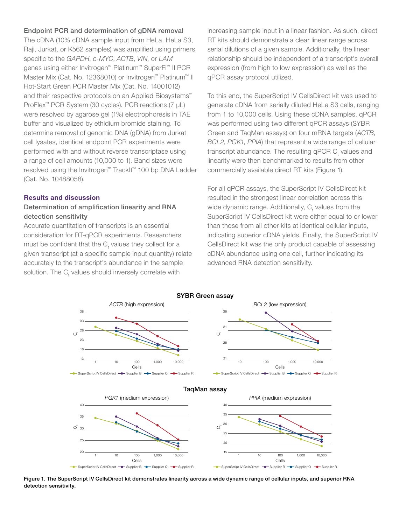#### Endpoint PCR and determination of gDNA removal

The cDNA (10% cDNA sample input from HeLa, HeLa S3, Raji, Jurkat, or K562 samples) was amplified using primers specific to the *GAPDH*, *c-MYC*, *ACTB*, *VIN*, or *LAM* genes using either Invitrogen™ Platinum™ SuperFi™ II PCR Master Mix (Cat. No. 12368010) or Invitrogen™ Platinum™ II Hot-Start Green PCR Master Mix (Cat. No. 14001012) and their respective protocols on an Applied Biosystems™ ProFlex™ PCR System (30 cycles). PCR reactions (7 μL) were resolved by agarose gel (1%) electrophoresis in TAE buffer and visualized by ethidium bromide staining. To determine removal of genomic DNA (gDNA) from Jurkat cell lysates, identical endpoint PCR experiments were performed with and without reverse transcriptase using a range of cell amounts (10,000 to 1). Band sizes were resolved using the Invitrogen™ TrackIt™ 100 bp DNA Ladder (Cat. No. 10488058).

#### Results and discussion

# Determination of amplification linearity and RNA detection sensitivity

Accurate quantitation of transcripts is an essential consideration for RT-qPCR experiments. Researchers must be confident that the  $\mathsf{C}_\mathsf{t}$  values they collect for a given transcript (at a specific sample input quantity) relate accurately to the transcript's abundance in the sample solution. The  $C_t$  values should inversely correlate with

increasing sample input in a linear fashion. As such, direct RT kits should demonstrate a clear linear range across serial dilutions of a given sample. Additionally, the linear relationship should be independent of a transcript's overall expression (from high to low expression) as well as the qPCR assay protocol utilized.

To this end, the SuperScript IV CellsDirect kit was used to generate cDNA from serially diluted HeLa S3 cells, ranging from 1 to 10,000 cells. Using these cDNA samples, qPCR was performed using two different qPCR assays (SYBR Green and TaqMan assays) on four mRNA targets (*ACTB*, *BCL2*, *PGK1*, *PPIA*) that represent a wide range of cellular transcript abundance. The resulting qPCR  $\textsf{C}_\textsf{t}$  values and linearity were then benchmarked to results from other commercially available direct RT kits (Figure 1).

For all qPCR assays, the SuperScript IV CellsDirect kit resulted in the strongest linear correlation across this wide dynamic range. Additionally,  $C_{t}$  values from the SuperScript IV CellsDirect kit were either equal to or lower than those from all other kits at identical cellular inputs, indicating superior cDNA yields. Finally, the SuperScript IV CellsDirect kit was the only product capable of assessing cDNA abundance using one cell, further indicating its advanced RNA detection sensitivity.



Figure 1. The SuperScript IV CellsDirect kit demonstrates linearity across a wide dynamic range of cellular inputs, and superior RNA Cells detection sensitivity. suppliers in the Supplier of Supplier B Supplier R Supplier R Supplier R Supplier supers concentrated in activities in our ty a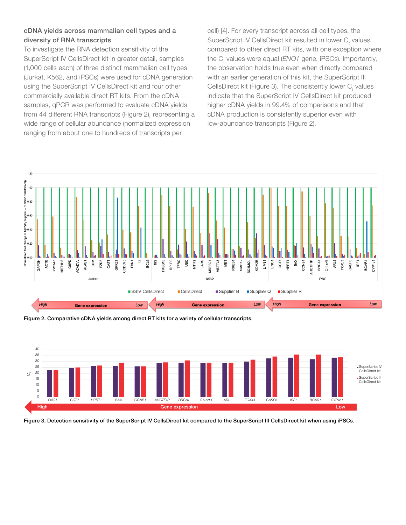# cDNA yields across mammalian cell types and a diversity of RNA transcripts

To investigate the RNA detection sensitivity of the SuperScript IV CellsDirect kit in greater detail, samples (1,000 cells each) of three distinct mammalian cell types (Jurkat, K562, and iPSCs) were used for cDNA generation using the SuperScript IV CellsDirect kit and four other commercially available direct RT kits. From the cDNA samples, qPCR was performed to evaluate cDNA yields from 44 different RNA transcripts (Figure 2), representing a wide range of cellular abundance (normalized expression ranging from about one to hundreds of transcripts per

cell) [4]. For every transcript across all cell types, the SuperScript IV CellsDirect kit resulted in lower C<sub>t</sub> values compared to other direct RT kits, with one exception where the C<sub>t</sub> values were equal (*ENO1* gene, iPSCs). Importantly, the observation holds true even when directly compared with an earlier generation of this kit, the SuperScript III CellsDirect kit (Figure 3). The consistently lower  $\mathsf{C}_\mathsf{t}$  values indicate that the SuperScript IV CellsDirect kit produced higher cDNA yields in 99.4% of comparisons and that cDNA production is consistently superior even with low-abundance transcripts (Figure 2).



Figure 2. Comparative cDNA yields among direct RT kits for a variety of cellular transcripts.



Figure 3. Detection sensitivity of the SuperScript IV CellsDirect kit compared to the SuperScript III CellsDirect kit when using iPSCs.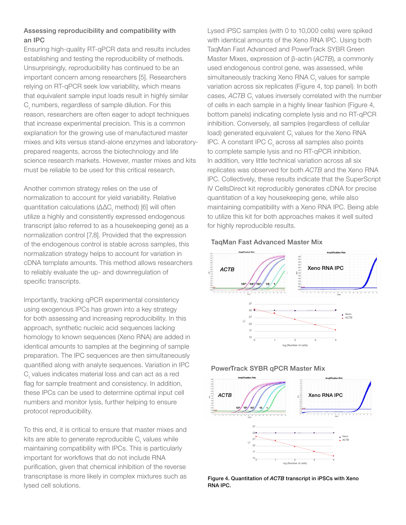# Assessing reproducibility and compatibility with an IPC

Ensuring high-quality RT-qPCR data and results includes establishing and testing the reproducibility of methods. Unsurprisingly, reproducibility has continued to be an important concern among researchers [5]. Researchers relying on RT-qPCR seek low variability, which means that equivalent sample input loads result in highly similar  $C_t$  numbers, regardless of sample dilution. For this reason, researchers are often eager to adopt techniques that increase experimental precision. This is a common explanation for the growing use of manufactured master mixes and kits versus stand-alone enzymes and laboratoryprepared reagents, across the biotechnology and life science research markets. However, master mixes and kits must be reliable to be used for this critical research.

Another common strategy relies on the use of normalization to account for yield variability. Relative quantitation calculations (ΔΔC<sub>t</sub> method) [6] will often utilize a highly and consistently expressed endogenous transcript (also referred to as a housekeeping gene) as a normalization control [7,8]. Provided that the expression of the endogenous control is stable across samples, this normalization strategy helps to account for variation in cDNA template amounts. This method allows researchers to reliably evaluate the up- and downregulation of specific transcripts.

Importantly, tracking qPCR experimental consistency using exogenous IPCs has grown into a key strategy for both assessing and increasing reproducibility. In this approach, synthetic nucleic acid sequences lacking homology to known sequences (Xeno RNA) are added in identical amounts to samples at the beginning of sample preparation. The IPC sequences are then simultaneously quantified along with analyte sequences. Variation in IPC  $\mathrm C_{\mathrm t}$  values indicates material loss and can act as a red flag for sample treatment and consistency. In addition, these IPCs can be used to determine optimal input cell numbers and monitor lysis, further helping to ensure protocol reproducibility.

To this end, it is critical to ensure that master mixes and kits are able to generate reproducible  $\mathsf{C}_\mathsf{t}$  values while maintaining compatibility with IPCs. This is particularly important for workflows that do not include RNA purification, given that chemical inhibition of the reverse transcriptase is more likely in complex mixtures such as lysed cell solutions.

Lysed iPSC samples (with 0 to 10,000 cells) were spiked with identical amounts of the Xeno RNA IPC. Using both TaqMan Fast Advanced and PowerTrack SYBR Green Master Mixes, expression of β-actin (*ACTB*), a commonly used endogenous control gene, was assessed, while simultaneously tracking Xeno RNA C<sub>t</sub> values for sample variation across six replicates (Figure 4, top panel). In both cases, ACTB C<sub>t</sub> values inversely correlated with the number of cells in each sample in a highly linear fashion (Figure 4, bottom panels) indicating complete lysis and no RT-qPCR inhibition. Conversely, all samples (regardless of cellular load) generated equivalent  $\mathsf{C}_\mathsf{t}$  values for the Xeno RNA IPC. A constant IPC  $C_{t}$  across all samples also points to complete sample lysis and no RT-qPCR inhibition. In addition, very little technical variation across all six replicates was observed for both *ACTB* and the Xeno RNA IPC. Collectively, these results indicate that the SuperScript IV CellsDirect kit reproducibly generates cDNA for precise quantitation of a key housekeeping gene, while also maintaining compatibility with a Xeno RNA IPC. Being able to utilize this kit for both approaches makes it well suited for highly reproducible results.

# TaqMan Fast Advanced Master Mix



# PowerTrack SYBR qPCR Master Mix



Figure 4. Quantitation of *ACTB* transcript in iPSCs with Xeno RNA IPC.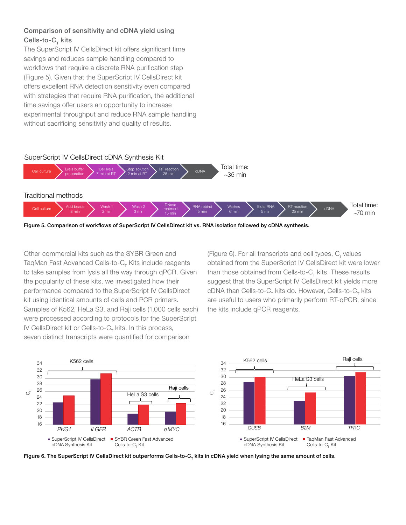# Comparison of sensitivity and cDNA yield using Cells-to- $C_{\tau}$  kits

The SuperScript IV CellsDirect kit offers significant time savings and reduces sample handling compared to workflows that require a discrete RNA purification step (Figure 5). Given that the SuperScript IV CellsDirect kit offers excellent RNA detection sensitivity even compared with strategies that require RNA purification, the additional time savings offer users an opportunity to increase experimental throughput and reduce RNA sample handling without sacrificing sensitivity and quality of results.



Other commercial kits such as the SYBR Green and TaqMan Fast Advanced Cells-to-C<sub>T</sub> Kits include reagents to take samples from lysis all the way through qPCR. Given the popularity of these kits, we investigated how their performance compared to the SuperScript IV CellsDirect cDNA than Cells-to-C<sub>r</sub> kits do. However, Cells-to-C<sub>r</sub> kits kit using identical amounts of cells and PCR primers. Samples of K562, HeLa S3, and Raji cells (1,000 cells each) were processed according to protocols for the SuperScript IV CellsDirect kit or Cells-to- $C_{_{\sf T}}$  kits. In this process, seven distinct transcripts were quantified for comparison kit using identical amounts of cells and PCR primers. The are useful to users who primarily perform RT-qPCR, since

(Figure 6). For all transcripts and cell types,  $C_{t}$  values obtained from the SuperScript IV CellsDirect kit were lower than those obtained from Cells-to-C<sub>T</sub> kits. These results suggest that the SuperScript IV CellsDirect kit yields more cDNA than Cells-to-C $_{\!\tau}$  kits do. However, Cells-to-C $_{\!\tau}$  kits the kits include qPCR reagents.



Figure 6. The SuperScript IV CellsDirect kit outperforms Cells-to- $C<sub>r</sub>$  kits in cDNA yield when lysing the same amount of cells.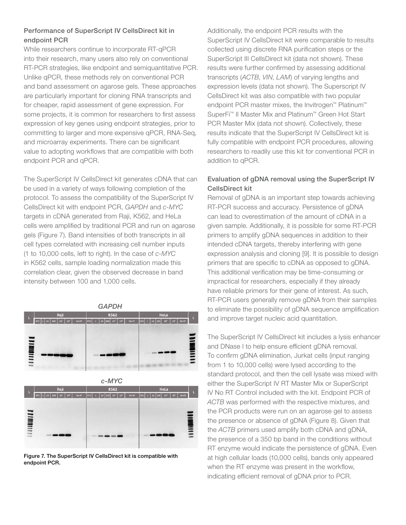# Performance of SuperScript IV CellsDirect kit in endpoint PCR

While researchers continue to incorporate RT-qPCR into their research, many users also rely on conventional RT-PCR strategies, like endpoint and semiquantitative PCR. Unlike qPCR, these methods rely on conventional PCR and band assessment on agarose gels. These approaches are particularly important for cloning RNA transcripts and for cheaper, rapid assessment of gene expression. For some projects, it is common for researchers to first assess expression of key genes using endpoint strategies, prior to committing to larger and more expensive qPCR, RNA-Seq, and microarray experiments. There can be significant value to adopting workflows that are compatible with both endpoint PCR and qPCR.

The SuperScript IV CellsDirect kit generates cDNA that can be used in a variety of ways following completion of the protocol. To assess the compatibility of the SuperScript IV CellsDirect kit with endpoint PCR, *GAPDH* and *c-MYC* targets in cDNA generated from Raji, K562, and HeLa cells were amplified by traditional PCR and run on agarose gels (Figure 7). Band intensities of both transcripts in all cell types correlated with increasing cell number inputs (1 to 10,000 cells, left to right). In the case of *c-MYC* in K562 cells, sample loading normalization made this correlation clear, given the observed decrease in band intensity between 100 and 1,000 cells.

*GAPDH* K562 **MINITY 1110000111** 



Figure 7. The SuperScript IV CellsDirect kit is compatible with endpoint PCR.

Additionally, the endpoint PCR results with the SuperScript IV CellsDirect kit were comparable to results collected using discrete RNA purification steps or the SuperScript III CellsDirect kit (data not shown). These results were further confirmed by assessing additional transcripts (*ACTB*, *VIN*, *LAM*) of varying lengths and expression levels (data not shown). The Superscript IV CellsDirect kit was also compatible with two popular endpoint PCR master mixes, the Invitrogen<sup>™</sup> Platinum<sup>™</sup> SuperFi™ II Master Mix and Platinum™ Green Hot Start PCR Master Mix (data not shown). Collectively, these results indicate that the SuperScript IV CellsDirect kit is fully compatible with endpoint PCR procedures, allowing researchers to readily use this kit for conventional PCR in addition to qPCR.

# Evaluation of gDNA removal using the SuperScript IV CellsDirect kit

Removal of gDNA is an important step towards achieving RT-PCR success and accuracy. Persistence of gDNA can lead to overestimation of the amount of cDNA in a given sample. Additionally, it is possible for some RT-PCR primers to amplify gDNA sequences in addition to their intended cDNA targets, thereby interfering with gene expression analysis and cloning [9]. It is possible to design primers that are specific to cDNA as opposed to gDNA. This additional verification may be time-consuming or impractical for researchers, especially if they already have reliable primers for their gene of interest. As such, RT-PCR users generally remove gDNA from their samples to eliminate the possibility of gDNA sequence amplification and improve target nucleic acid quantitation.

The SuperScript IV CellsDirect kit includes a lysis enhancer and DNase I to help ensure efficient gDNA removal. To confirm gDNA elimination, Jurkat cells (input ranging from 1 to 10,000 cells) were lysed according to the standard protocol, and then the cell lysate was mixed with either the SuperScript IV RT Master Mix or SuperScript IV No RT Control included with the kit. Endpoint PCR of *ACTB* was performed with the respective mixtures, and the PCR products were run on an agarose gel to assess the presence or absence of gDNA (Figure 8). Given that the *ACTB* primers used amplify both cDNA and gDNA, the presence of a 350 bp band in the conditions without RT enzyme would indicate the persistence of gDNA. Even at high cellular loads (10,000 cells), bands only appeared when the RT enzyme was present in the workflow, indicating efficient removal of gDNA prior to PCR.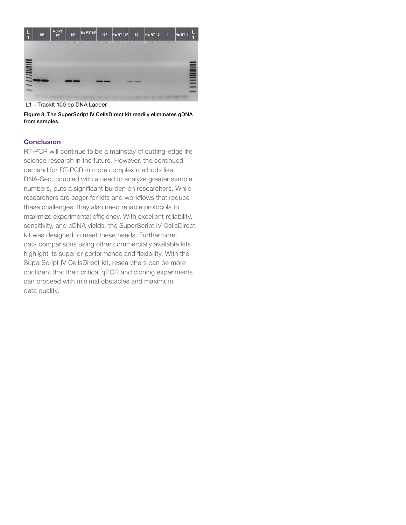

L1 - Tracklt 100 bp DNA Ladder

Figure 8. The SuperScript IV CellsDirect kit readily eliminates gDNA from samples.

#### **Conclusion**

RT-PCR will continue to be a mainstay of cutting-edge life science research in the future. However, the continued demand for RT-PCR in more complex methods like RNA-Seq, coupled with a need to analyze greater sample numbers, puts a significant burden on researchers. While researchers are eager for kits and workflows that reduce these challenges, they also need reliable protocols to maximize experimental efficiency. With excellent reliability, sensitivity, and cDNA yields, the SuperScript IV CellsDirect kit was designed to meet these needs. Furthermore, data comparisons using other commercially available kits highlight its superior performance and flexibility. With the SuperScript IV CellsDirect kit, researchers can be more confident that their critical qPCR and cloning experiments can proceed with minimal obstacles and maximum data quality.